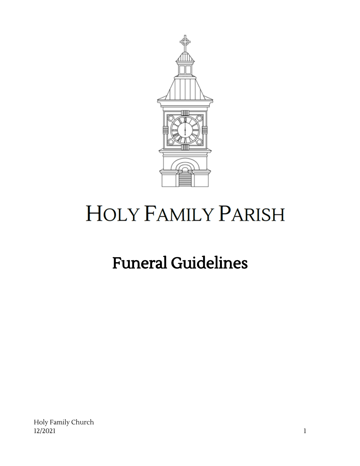

# **HOLY FAMILY PARISH**

# Funeral Guidelines

Holy Family Church 12/2021 1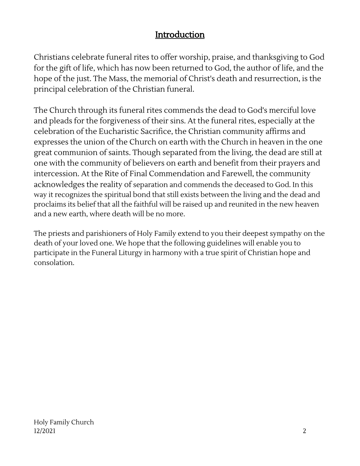### Introduction

Christians celebrate funeral rites to offer worship, praise, and thanksgiving to God for the gift of life, which has now been returned to God, the author of life, and the hope of the just. The Mass, the memorial of Christ's death and resurrection, is the principal celebration of the Christian funeral.

The Church through its funeral rites commends the dead to God's merciful love and pleads for the forgiveness of their sins. At the funeral rites, especially at the celebration of the Eucharistic Sacrifice, the Christian community affirms and expresses the union of the Church on earth with the Church in heaven in the one great communion of saints. Though separated from the living, the dead are still at one with the community of believers on earth and benefit from their prayers and intercession. At the Rite of Final Commendation and Farewell, the community acknowledges the reality of separation and commends the deceased to God. In this way it recognizes the spiritual bond that still exists between the living and the dead and proclaims its belief that all the faithful will be raised up and reunited in the new heaven and a new earth, where death will be no more.

The priests and parishioners of Holy Family extend to you their deepest sympathy on the death of your loved one. We hope that the following guidelines will enable you to participate in the Funeral Liturgy in harmony with a true spirit of Christian hope and consolation.

Holy Family Church 12/2021 2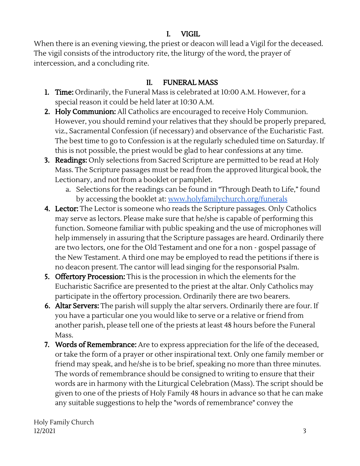#### I. VIGIL

When there is an evening viewing, the priest or deacon will lead a Vigil for the deceased. The vigil consists of the introductory rite, the liturgy of the word, the prayer of intercession, and a concluding rite.

#### II. FUNERAL MASS

- 1. Time: Ordinarily, the Funeral Mass is celebrated at 10:00 A.M. However, for a special reason it could be held later at 10:30 A.M.
- 2. Holy Communion: All Catholics are encouraged to receive Holy Communion. However, you should remind your relatives that they should be properly prepared, viz., Sacramental Confession (if necessary) and observance of the Eucharistic Fast. The best time to go to Confession is at the regularly scheduled time on Saturday. If this is not possible, the priest would be glad to hear confessions at any time.
- 3. Readings: Only selections from Sacred Scripture are permitted to be read at Holy Mass. The Scripture passages must be read from the approved liturgical book, the Lectionary, and not from a booklet or pamphlet.
	- a. Selections for the readings can be found in "Through Death to Life," found by accessing the booklet at: [www.holyfamilychurch.org/funerals](http://www.holyfamilychurch.org/funerals)
- 4. Lector: The Lector is someone who reads the Scripture passages. Only Catholics may serve as lectors. Please make sure that he/she is capable of performing this function. Someone familiar with public speaking and the use of microphones will help immensely in assuring that the Scripture passages are heard. Ordinarily there are two lectors, one for the Old Testament and one for a non - gospel passage of the New Testament. A third one may be employed to read the petitions if there is no deacon present. The cantor will lead singing for the responsorial Psalm.
- 5. Offertory Procession: This is the procession in which the elements for the Eucharistic Sacrifice are presented to the priest at the altar. Only Catholics may participate in the offertory procession. Ordinarily there are two bearers.
- 6. Altar Servers: The parish will supply the altar servers. Ordinarily there are four. If you have a particular one you would like to serve or a relative or friend from another parish, please tell one of the priests at least 48 hours before the Funeral Mass.
- 7. Words of Remembrance: Are to express appreciation for the life of the deceased, or take the form of a prayer or other inspirational text. Only one family member or friend may speak, and he/she is to be brief, speaking no more than three minutes. The words of remembrance should be consigned to writing to ensure that their words are in harmony with the Liturgical Celebration (Mass). The script should be given to one of the priests of Holy Family 48 hours in advance so that he can make any suitable suggestions to help the "words of remembrance" convey the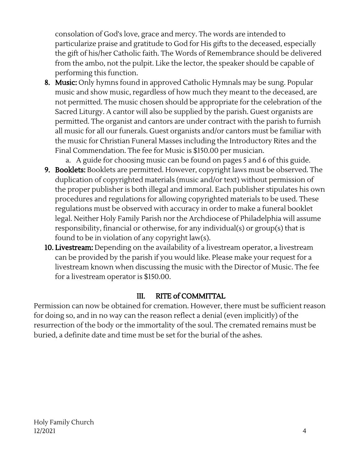consolation of God's love, grace and mercy. The words are intended to particularize praise and gratitude to God for His gifts to the deceased, especially the gift of his/her Catholic faith. The Words of Remembrance should be delivered from the ambo, not the pulpit. Like the lector, the speaker should be capable of performing this function.

- **8. Music:** Only hymns found in approved Catholic Hymnals may be sung. Popular music and show music, regardless of how much they meant to the deceased, are not permitted. The music chosen should be appropriate for the celebration of the Sacred Liturgy. A cantor will also be supplied by the parish. Guest organists are permitted. The organist and cantors are under contract with the parish to furnish all music for all our funerals. Guest organists and/or cantors must be familiar with the music for Christian Funeral Masses including the Introductory Rites and the Final Commendation. The fee for Music is \$150.00 per musician.
	- a. A guide for choosing music can be found on pages 5 and 6 of this guide.
- **9. Booklets:** Booklets are permitted. However, copyright laws must be observed. The duplication of copyrighted materials (music and/or text) without permission of the proper publisher is both illegal and immoral. Each publisher stipulates his own procedures and regulations for allowing copyrighted materials to be used. These regulations must be observed with accuracy in order to make a funeral booklet legal. Neither Holy Family Parish nor the Archdiocese of Philadelphia will assume responsibility, financial or otherwise, for any individual(s) or group(s) that is found to be in violation of any copyright law(s).
- **10. Livestream:** Depending on the availability of a livestream operator, a livestream can be provided by the parish if you would like. Please make your request for a livestream known when discussing the music with the Director of Music. The fee for a livestream operator is \$150.00.

#### III. RITE of COMMITTAL

Permission can now be obtained for cremation. However, there must be sufficient reason for doing so, and in no way can the reason reflect a denial (even implicitly) of the resurrection of the body or the immortality of the soul. The cremated remains must be buried, a definite date and time must be set for the burial of the ashes.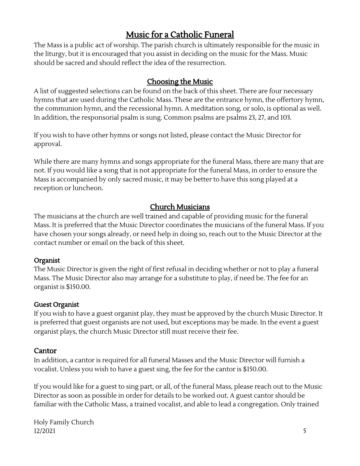## Music for a Catholic Funeral

The Mass is a public act of worship. The parish church is ultimately responsible for the music in the liturgy, but it is encouraged that you assist in deciding on the music for the Mass. Music should be sacred and should reflect the idea of the resurrection.

#### Choosing the Music

A list of suggested selections can be found on the back of this sheet. There are four necessary hymns that are used during the Catholic Mass. These are the entrance hymn, the offertory hymn, the communion hymn, and the recessional hymn. A meditation song, or solo, is optional as well. In addition, the responsorial psalm is sung. Common psalms are psalms 23, 27, and 103.

If you wish to have other hymns or songs not listed, please contact the Music Director for approval.

While there are many hymns and songs appropriate for the funeral Mass, there are many that are not. If you would like a song that is not appropriate for the funeral Mass, in order to ensure the Mass is accompanied by only sacred music, it may be better to have this song played at a reception or luncheon.

#### Church Musicians

The musicians at the church are well trained and capable of providing music for the funeral Mass. It is preferred that the Music Director coordinates the musicians of the funeral Mass. If you have chosen your songs already, or need help in doing so, reach out to the Music Director at the contact number or email on the back of this sheet.

#### Organist

The Music Director is given the right of first refusal in deciding whether or not to play a funeral Mass. The Music Director also may arrange for a substitute to play, if need be. The fee for an organist is \$150.00.

#### Guest Organist

If you wish to have a guest organist play, they must be approved by the church Music Director. It is preferred that guest organists are not used, but exceptions may be made. In the event a guest organist plays, the church Music Director still must receive their fee.

#### Cantor

In addition, a cantor is required for all funeral Masses and the Music Director will furnish a vocalist. Unless you wish to have a guest sing, the fee for the cantor is \$150.00.

If you would like for a guest to sing part, or all, of the funeral Mass, please reach out to the Music Director as soon as possible in order for details to be worked out. A guest cantor should be familiar with the Catholic Mass, a trained vocalist, and able to lead a congregation. Only trained

Holy Family Church 12/2021 5